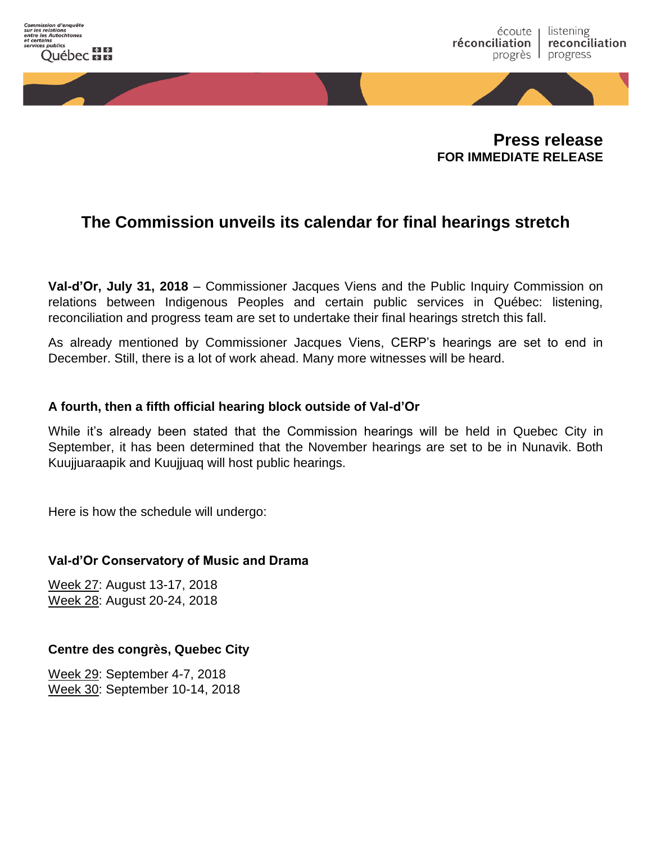

**Press release FOR IMMEDIATE RELEASE**

# **The Commission unveils its calendar for final hearings stretch**

**Val-d'Or, July 31, 2018** – Commissioner Jacques Viens and the Public Inquiry Commission on relations between Indigenous Peoples and certain public services in Québec: listening, reconciliation and progress team are set to undertake their final hearings stretch this fall.

As already mentioned by Commissioner Jacques Viens, CERP's hearings are set to end in December. Still, there is a lot of work ahead. Many more witnesses will be heard.

## **A fourth, then a fifth official hearing block outside of Val-d'Or**

While it's already been stated that the Commission hearings will be held in Quebec City in September, it has been determined that the November hearings are set to be in Nunavik. Both Kuujjuaraapik and Kuujjuaq will host public hearings.

Here is how the schedule will undergo:

### **Val-d'Or Conservatory of Music and Drama**

Week 27: August 13-17, 2018 Week 28: August 20-24, 2018

## **Centre des congrès, Quebec City**

Week 29: September 4-7, 2018 Week 30: September 10-14, 2018